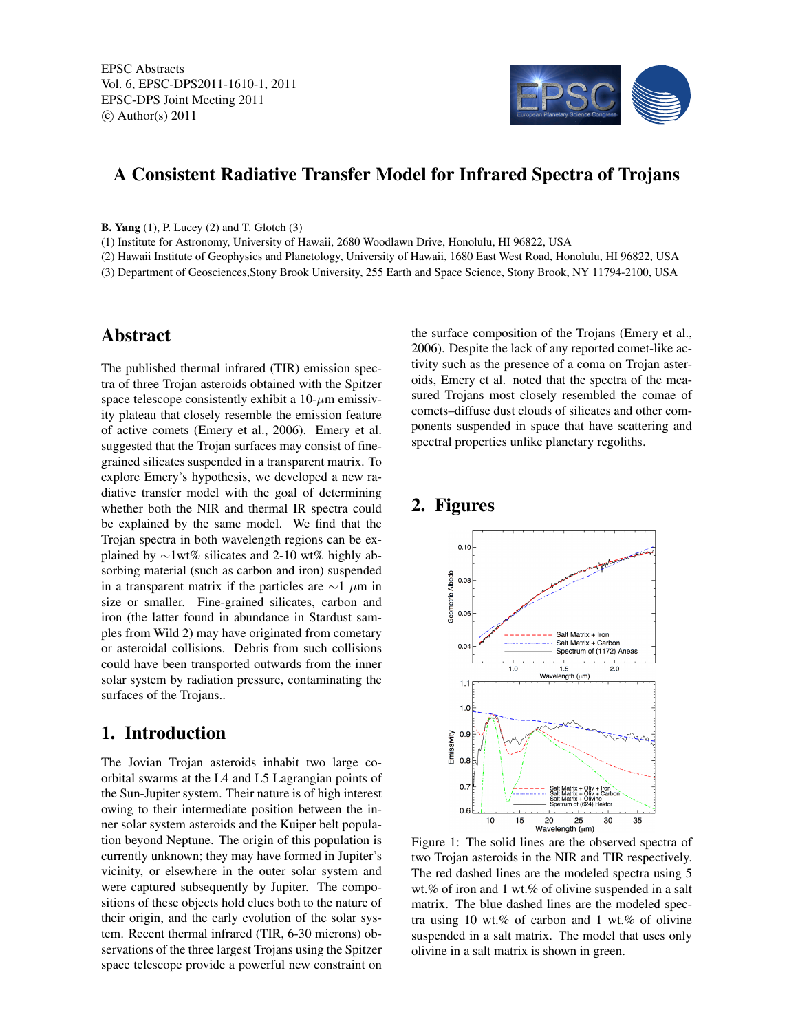

### A Consistent Radiative Transfer Model for Infrared Spectra of Trojans

B. Yang (1), P. Lucey (2) and T. Glotch (3)

(1) Institute for Astronomy, University of Hawaii, 2680 Woodlawn Drive, Honolulu, HI 96822, USA

(2) Hawaii Institute of Geophysics and Planetology, University of Hawaii, 1680 East West Road, Honolulu, HI 96822, USA

(3) Department of Geosciences,Stony Brook University, 255 Earth and Space Science, Stony Brook, NY 11794-2100, USA

#### Abstract

The published thermal infrared (TIR) emission spectra of three Trojan asteroids obtained with the Spitzer space telescope consistently exhibit a  $10$ - $\mu$ m emissivity plateau that closely resemble the emission feature of active comets (Emery et al., 2006). Emery et al. suggested that the Trojan surfaces may consist of finegrained silicates suspended in a transparent matrix. To explore Emery's hypothesis, we developed a new radiative transfer model with the goal of determining whether both the NIR and thermal IR spectra could be explained by the same model. We find that the Trojan spectra in both wavelength regions can be explained by ∼1wt% silicates and 2-10 wt% highly absorbing material (such as carbon and iron) suspended in a transparent matrix if the particles are  $\sim$ 1  $\mu$ m in size or smaller. Fine-grained silicates, carbon and iron (the latter found in abundance in Stardust samples from Wild 2) may have originated from cometary or asteroidal collisions. Debris from such collisions could have been transported outwards from the inner solar system by radiation pressure, contaminating the surfaces of the Trojans..

### 1. Introduction

The Jovian Trojan asteroids inhabit two large coorbital swarms at the L4 and L5 Lagrangian points of the Sun-Jupiter system. Their nature is of high interest owing to their intermediate position between the inner solar system asteroids and the Kuiper belt population beyond Neptune. The origin of this population is currently unknown; they may have formed in Jupiter's vicinity, or elsewhere in the outer solar system and were captured subsequently by Jupiter. The compositions of these objects hold clues both to the nature of their origin, and the early evolution of the solar system. Recent thermal infrared (TIR, 6-30 microns) observations of the three largest Trojans using the Spitzer space telescope provide a powerful new constraint on

the surface composition of the Trojans (Emery et al., 2006). Despite the lack of any reported comet-like activity such as the presence of a coma on Trojan asteroids, Emery et al. noted that the spectra of the measured Trojans most closely resembled the comae of comets–diffuse dust clouds of silicates and other components suspended in space that have scattering and spectral properties unlike planetary regoliths.

# 2. Figures



Figure 1: The solid lines are the observed spectra of two Trojan asteroids in the NIR and TIR respectively. The red dashed lines are the modeled spectra using 5 wt.% of iron and 1 wt.% of olivine suspended in a salt matrix. The blue dashed lines are the modeled spectra using 10 wt.% of carbon and 1 wt.% of olivine suspended in a salt matrix. The model that uses only olivine in a salt matrix is shown in green.